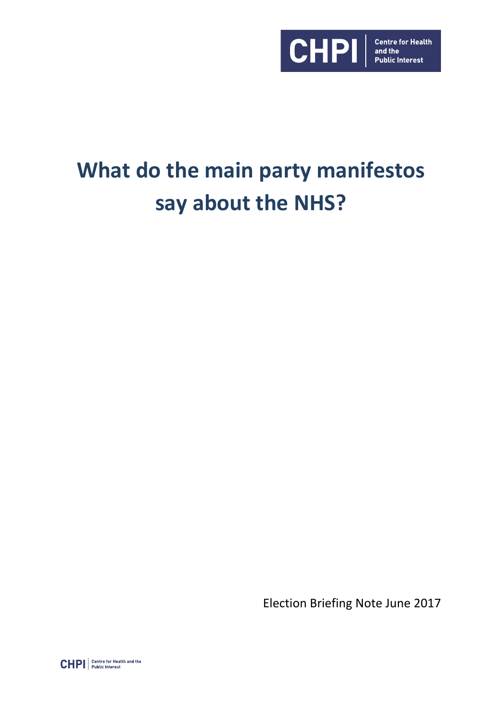

# **What do the main party manifestos say about the NHS?**

Election Briefing Note June 2017

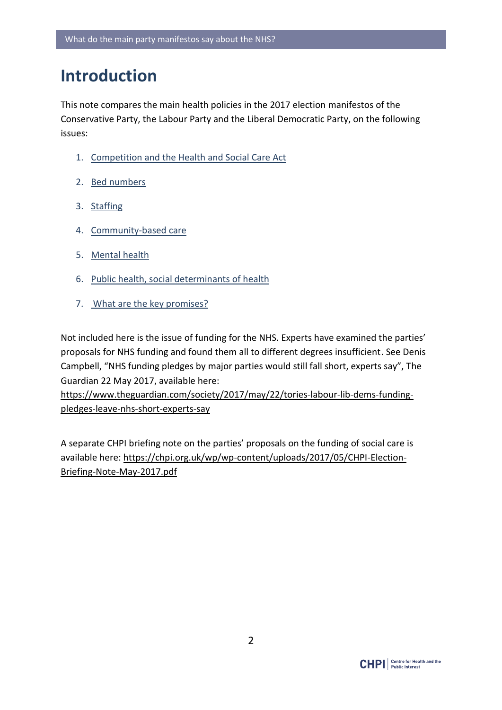# **Introduction**

This note compares the main health policies in the 2017 election manifestos of the Conservative Party, the Labour Party and the Liberal Democratic Party, on the following issues:

- 1. [Competition and the Health and Social Care Act](#page-1-0)
- 2. [Bed numbers](#page-4-0)
- 3. [Staffing](#page-6-0)
- 4. [Community-based care](#page-8-0)
- 5. [Mental health](#page-10-0)
- 6. [Public health, social determinants of health](#page-12-0)
- 7. [What are the key promises?](#page-14-0)

Not included here is the issue of funding for the NHS. Experts have examined the parties' proposals for NHS funding and found them all to different degrees insufficient. See Denis Campbell, "NHS funding pledges by major parties would still fall short, experts say", The Guardian 22 May 2017, available here:

[https://www.theguardian.com/society/2017/may/22/tories-labour-lib-dems-funding](https://www.theguardian.com/society/2017/may/22/tories-labour-lib-dems-funding-pledges-leave-nhs-short-experts-say)[pledges-leave-nhs-short-experts-say](https://www.theguardian.com/society/2017/may/22/tories-labour-lib-dems-funding-pledges-leave-nhs-short-experts-say)

<span id="page-1-0"></span>A separate CHPI briefing note on the parties' proposals on the funding of social care is available here: [https://chpi.org.uk/wp/wp-content/uploads/2017/05/CHPI-Election-](https://chpi.org.uk/wp/wp-content/uploads/2017/05/CHPI-Election-Briefing-Note-May-2017.pdf)[Briefing-Note-May-2017.pdf](https://chpi.org.uk/wp/wp-content/uploads/2017/05/CHPI-Election-Briefing-Note-May-2017.pdf)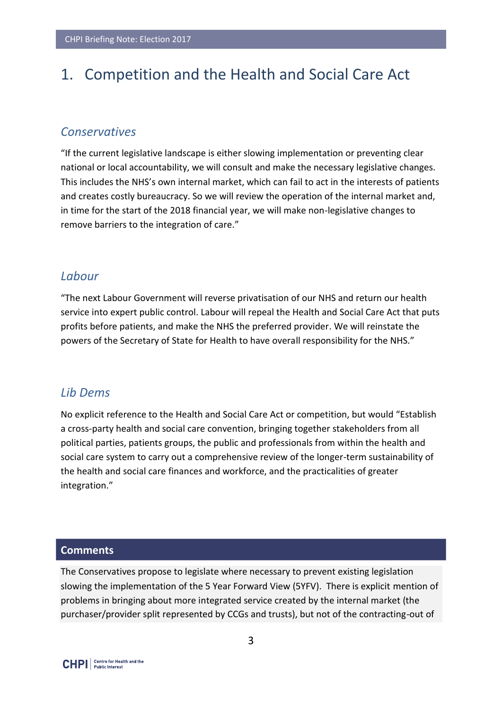# 1. Competition and the Health and Social Care Act

#### *Conservatives*

"If the current legislative landscape is either slowing implementation or preventing clear national or local accountability, we will consult and make the necessary legislative changes. This includes the NHS's own internal market, which can fail to act in the interests of patients and creates costly bureaucracy. So we will review the operation of the internal market and, in time for the start of the 2018 financial year, we will make non-legislative changes to remove barriers to the integration of care."

#### *Labour*

"The next Labour Government will reverse privatisation of our NHS and return our health service into expert public control. Labour will repeal the Health and Social Care Act that puts profits before patients, and make the NHS the preferred provider. We will reinstate the powers of the Secretary of State for Health to have overall responsibility for the NHS."

#### *Lib Dems*

No explicit reference to the Health and Social Care Act or competition, but would "Establish a cross-party health and social care convention, bringing together stakeholders from all political parties, patients groups, the public and professionals from within the health and social care system to carry out a comprehensive review of the longer-term sustainability of the health and social care finances and workforce, and the practicalities of greater integration."

#### **Comments**

The Conservatives propose to legislate where necessary to prevent existing legislation slowing the implementation of the 5 Year Forward View (5YFV). There is explicit mention of problems in bringing about more integrated service created by the internal market (the purchaser/provider split represented by CCGs and trusts), but not of the contracting-out of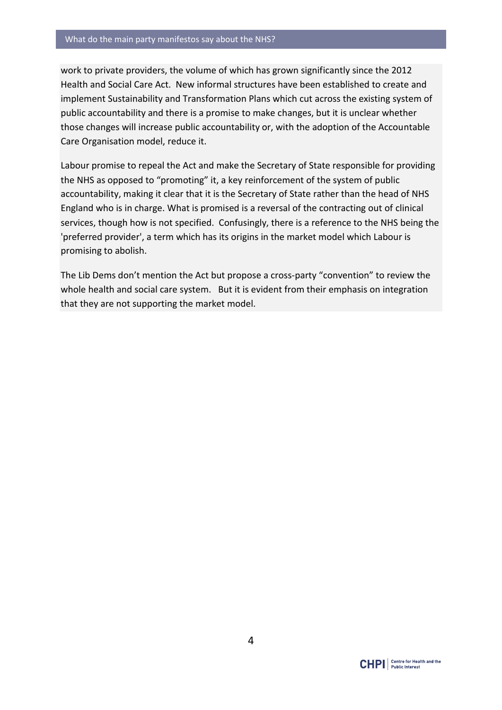work to private providers, the volume of which has grown significantly since the 2012 Health and Social Care Act. New informal structures have been established to create and implement Sustainability and Transformation Plans which cut across the existing system of public accountability and there is a promise to make changes, but it is unclear whether those changes will increase public accountability or, with the adoption of the Accountable Care Organisation model, reduce it.

Labour promise to repeal the Act and make the Secretary of State responsible for providing the NHS as opposed to "promoting" it, a key reinforcement of the system of public accountability, making it clear that it is the Secretary of State rather than the head of NHS England who is in charge. What is promised is a reversal of the contracting out of clinical services, though how is not specified. Confusingly, there is a reference to the NHS being the 'preferred provider', a term which has its origins in the market model which Labour is promising to abolish.

The Lib Dems don't mention the Act but propose a cross-party "convention" to review the whole health and social care system. But it is evident from their emphasis on integration that they are not supporting the market model.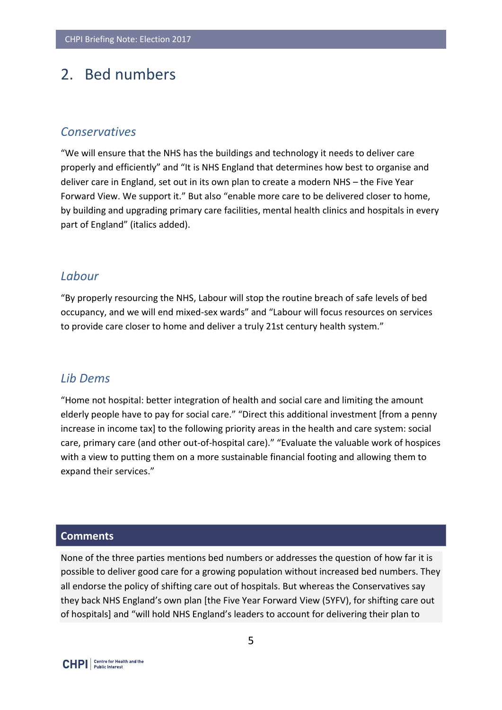### <span id="page-4-0"></span>2. Bed numbers

#### *Conservatives*

"We will ensure that the NHS has the buildings and technology it needs to deliver care properly and efficiently" and "It is NHS England that determines how best to organise and deliver care in England, set out in its own plan to create a modern NHS – the Five Year Forward View. We support it." But also "enable more care to be delivered closer to home, by building and upgrading primary care facilities, mental health clinics and hospitals in every part of England" (italics added).

#### *Labour*

"By properly resourcing the NHS, Labour will stop the routine breach of safe levels of bed occupancy, and we will end mixed-sex wards" and "Labour will focus resources on services to provide care closer to home and deliver a truly 21st century health system."

#### *Lib Dems*

"Home not hospital: better integration of health and social care and limiting the amount elderly people have to pay for social care." "Direct this additional investment [from a penny increase in income tax] to the following priority areas in the health and care system: social care, primary care (and other out-of-hospital care)." "Evaluate the valuable work of hospices with a view to putting them on a more sustainable financial footing and allowing them to expand their services."

#### **Comments**

None of the three parties mentions bed numbers or addresses the question of how far it is possible to deliver good care for a growing population without increased bed numbers. They all endorse the policy of shifting care out of hospitals. But whereas the Conservatives say they back NHS England's own plan [the Five Year Forward View (5YFV), for shifting care out of hospitals] and "will hold NHS England's leaders to account for delivering their plan to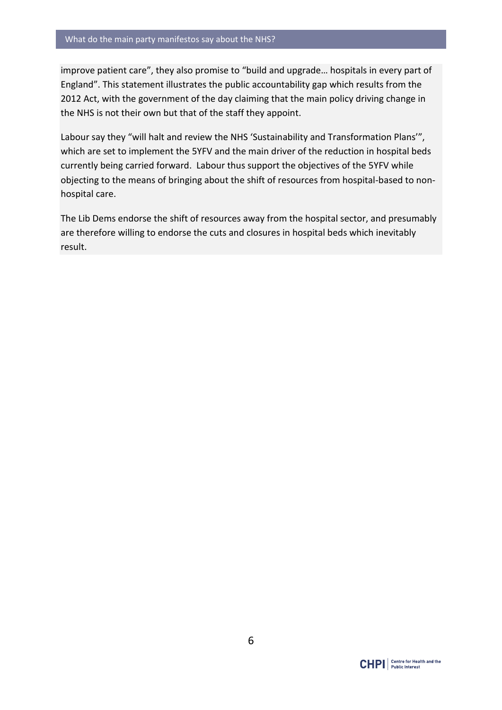improve patient care", they also promise to "build and upgrade… hospitals in every part of England". This statement illustrates the public accountability gap which results from the 2012 Act, with the government of the day claiming that the main policy driving change in the NHS is not their own but that of the staff they appoint.

Labour say they "will halt and review the NHS 'Sustainability and Transformation Plans'", which are set to implement the 5YFV and the main driver of the reduction in hospital beds currently being carried forward. Labour thus support the objectives of the 5YFV while objecting to the means of bringing about the shift of resources from hospital-based to nonhospital care.

The Lib Dems endorse the shift of resources away from the hospital sector, and presumably are therefore willing to endorse the cuts and closures in hospital beds which inevitably result.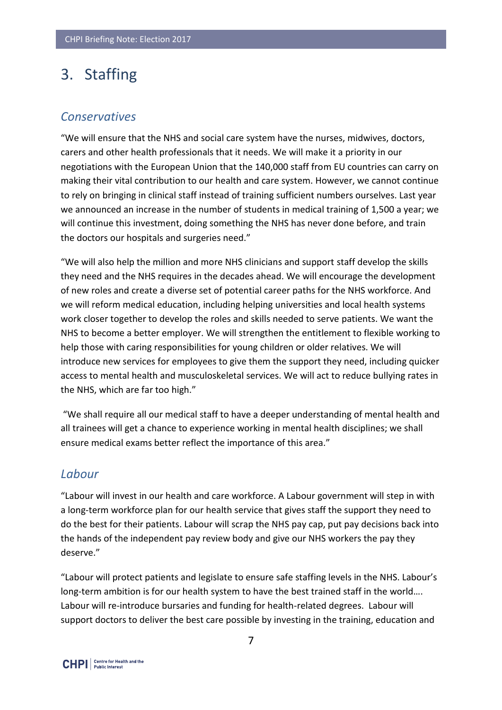# <span id="page-6-0"></span>3. Staffing

#### *Conservatives*

"We will ensure that the NHS and social care system have the nurses, midwives, doctors, carers and other health professionals that it needs. We will make it a priority in our negotiations with the European Union that the 140,000 staff from EU countries can carry on making their vital contribution to our health and care system. However, we cannot continue to rely on bringing in clinical staff instead of training sufficient numbers ourselves. Last year we announced an increase in the number of students in medical training of 1,500 a year; we will continue this investment, doing something the NHS has never done before, and train the doctors our hospitals and surgeries need."

"We will also help the million and more NHS clinicians and support staff develop the skills they need and the NHS requires in the decades ahead. We will encourage the development of new roles and create a diverse set of potential career paths for the NHS workforce. And we will reform medical education, including helping universities and local health systems work closer together to develop the roles and skills needed to serve patients. We want the NHS to become a better employer. We will strengthen the entitlement to flexible working to help those with caring responsibilities for young children or older relatives. We will introduce new services for employees to give them the support they need, including quicker access to mental health and musculoskeletal services. We will act to reduce bullying rates in the NHS, which are far too high."

"We shall require all our medical staff to have a deeper understanding of mental health and all trainees will get a chance to experience working in mental health disciplines; we shall ensure medical exams better reflect the importance of this area."

#### *Labour*

"Labour will invest in our health and care workforce. A Labour government will step in with a long-term workforce plan for our health service that gives staff the support they need to do the best for their patients. Labour will scrap the NHS pay cap, put pay decisions back into the hands of the independent pay review body and give our NHS workers the pay they deserve."

"Labour will protect patients and legislate to ensure safe staffing levels in the NHS. Labour's long-term ambition is for our health system to have the best trained staff in the world…. Labour will re-introduce bursaries and funding for health-related degrees. Labour will support doctors to deliver the best care possible by investing in the training, education and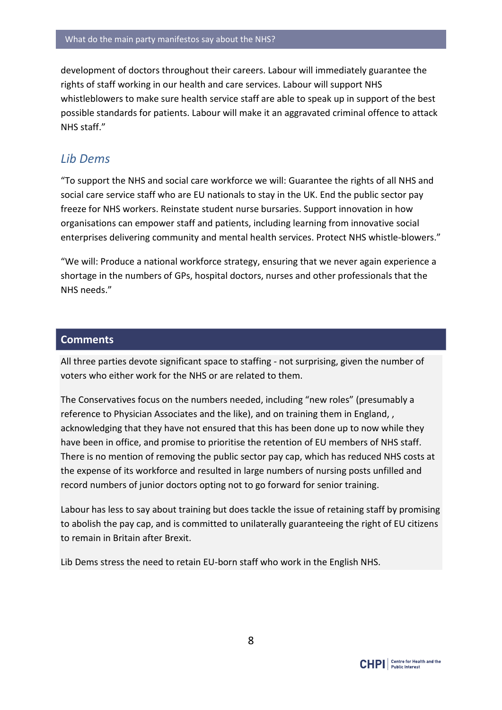development of doctors throughout their careers. Labour will immediately guarantee the rights of staff working in our health and care services. Labour will support NHS whistleblowers to make sure health service staff are able to speak up in support of the best possible standards for patients. Labour will make it an aggravated criminal offence to attack NHS staff."

#### *Lib Dems*

"To support the NHS and social care workforce we will: Guarantee the rights of all NHS and social care service staff who are EU nationals to stay in the UK. End the public sector pay freeze for NHS workers. Reinstate student nurse bursaries. Support innovation in how organisations can empower staff and patients, including learning from innovative social enterprises delivering community and mental health services. Protect NHS whistle-blowers."

"We will: Produce a national workforce strategy, ensuring that we never again experience a shortage in the numbers of GPs, hospital doctors, nurses and other professionals that the NHS needs."

#### **Comments**

All three parties devote significant space to staffing - not surprising, given the number of voters who either work for the NHS or are related to them.

The Conservatives focus on the numbers needed, including "new roles" (presumably a reference to Physician Associates and the like), and on training them in England, , acknowledging that they have not ensured that this has been done up to now while they have been in office, and promise to prioritise the retention of EU members of NHS staff. There is no mention of removing the public sector pay cap, which has reduced NHS costs at the expense of its workforce and resulted in large numbers of nursing posts unfilled and record numbers of junior doctors opting not to go forward for senior training.

Labour has less to say about training but does tackle the issue of retaining staff by promising to abolish the pay cap, and is committed to unilaterally guaranteeing the right of EU citizens to remain in Britain after Brexit.

Lib Dems stress the need to retain EU-born staff who work in the English NHS.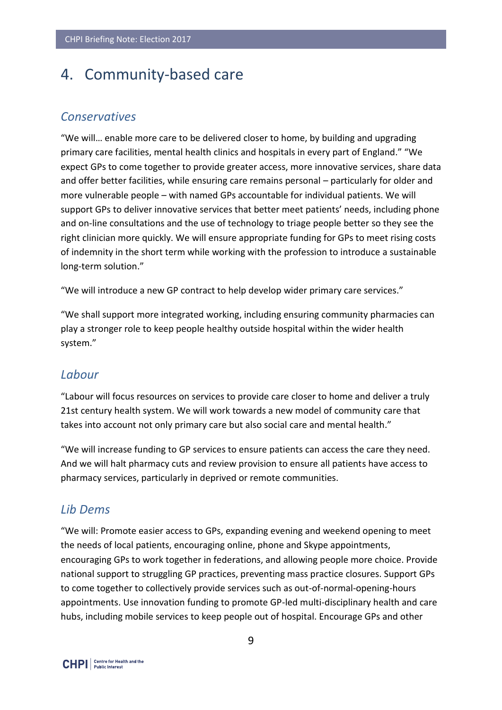# <span id="page-8-0"></span>4. Community-based care

#### *Conservatives*

"We will… enable more care to be delivered closer to home, by building and upgrading primary care facilities, mental health clinics and hospitals in every part of England." "We expect GPs to come together to provide greater access, more innovative services, share data and offer better facilities, while ensuring care remains personal – particularly for older and more vulnerable people – with named GPs accountable for individual patients. We will support GPs to deliver innovative services that better meet patients' needs, including phone and on-line consultations and the use of technology to triage people better so they see the right clinician more quickly. We will ensure appropriate funding for GPs to meet rising costs of indemnity in the short term while working with the profession to introduce a sustainable long-term solution."

"We will introduce a new GP contract to help develop wider primary care services."

"We shall support more integrated working, including ensuring community pharmacies can play a stronger role to keep people healthy outside hospital within the wider health system."

#### *Labour*

"Labour will focus resources on services to provide care closer to home and deliver a truly 21st century health system. We will work towards a new model of community care that takes into account not only primary care but also social care and mental health."

"We will increase funding to GP services to ensure patients can access the care they need. And we will halt pharmacy cuts and review provision to ensure all patients have access to pharmacy services, particularly in deprived or remote communities.

#### *Lib Dems*

"We will: Promote easier access to GPs, expanding evening and weekend opening to meet the needs of local patients, encouraging online, phone and Skype appointments, encouraging GPs to work together in federations, and allowing people more choice. Provide national support to struggling GP practices, preventing mass practice closures. Support GPs to come together to collectively provide services such as out-of-normal-opening-hours appointments. Use innovation funding to promote GP-led multi-disciplinary health and care hubs, including mobile services to keep people out of hospital. Encourage GPs and other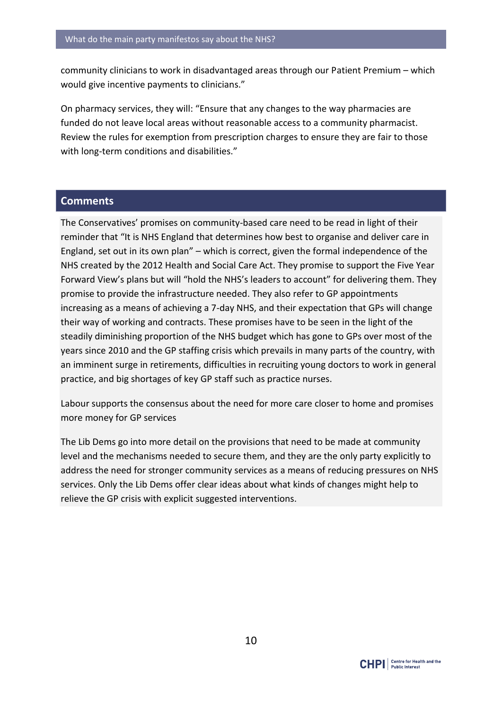community clinicians to work in disadvantaged areas through our Patient Premium – which would give incentive payments to clinicians."

On pharmacy services, they will: "Ensure that any changes to the way pharmacies are funded do not leave local areas without reasonable access to a community pharmacist. Review the rules for exemption from prescription charges to ensure they are fair to those with long-term conditions and disabilities."

#### **Comments**

The Conservatives' promises on community-based care need to be read in light of their reminder that "It is NHS England that determines how best to organise and deliver care in England, set out in its own plan" – which is correct, given the formal independence of the NHS created by the 2012 Health and Social Care Act. They promise to support the Five Year Forward View's plans but will "hold the NHS's leaders to account" for delivering them. They promise to provide the infrastructure needed. They also refer to GP appointments increasing as a means of achieving a 7-day NHS, and their expectation that GPs will change their way of working and contracts. These promises have to be seen in the light of the steadily diminishing proportion of the NHS budget which has gone to GPs over most of the years since 2010 and the GP staffing crisis which prevails in many parts of the country, with an imminent surge in retirements, difficulties in recruiting young doctors to work in general practice, and big shortages of key GP staff such as practice nurses.

Labour supports the consensus about the need for more care closer to home and promises more money for GP services

The Lib Dems go into more detail on the provisions that need to be made at community level and the mechanisms needed to secure them, and they are the only party explicitly to address the need for stronger community services as a means of reducing pressures on NHS services. Only the Lib Dems offer clear ideas about what kinds of changes might help to relieve the GP crisis with explicit suggested interventions.

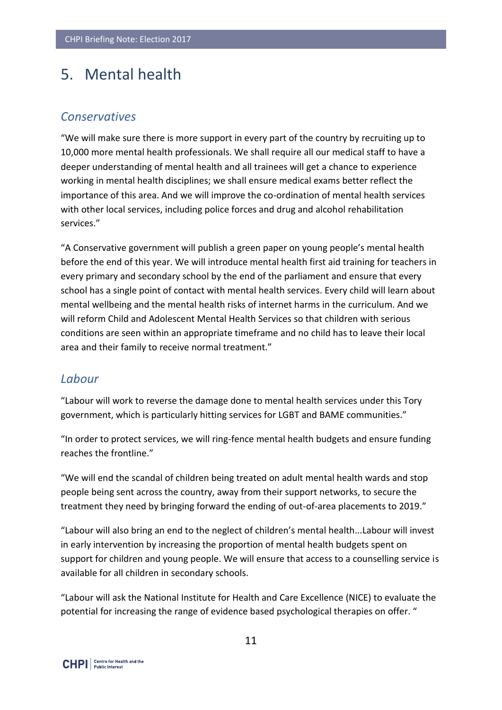# <span id="page-10-0"></span>5. Mental health

#### *Conservatives*

"We will make sure there is more support in every part of the country by recruiting up to 10,000 more mental health professionals. We shall require all our medical staff to have a deeper understanding of mental health and all trainees will get a chance to experience working in mental health disciplines; we shall ensure medical exams better reflect the importance of this area. And we will improve the co-ordination of mental health services with other local services, including police forces and drug and alcohol rehabilitation services."

"A Conservative government will publish a green paper on young people's mental health before the end of this year. We will introduce mental health first aid training for teachers in every primary and secondary school by the end of the parliament and ensure that every school has a single point of contact with mental health services. Every child will learn about mental wellbeing and the mental health risks of internet harms in the curriculum. And we will reform Child and Adolescent Mental Health Services so that children with serious conditions are seen within an appropriate timeframe and no child has to leave their local area and their family to receive normal treatment."

#### *Labour*

"Labour will work to reverse the damage done to mental health services under this Tory government, which is particularly hitting services for LGBT and BAME communities."

"In order to protect services, we will ring-fence mental health budgets and ensure funding reaches the frontline."

"We will end the scandal of children being treated on adult mental health wards and stop people being sent across the country, away from their support networks, to secure the treatment they need by bringing forward the ending of out-of-area placements to 2019."

"Labour will also bring an end to the neglect of children's mental health...Labour will invest in early intervention by increasing the proportion of mental health budgets spent on support for children and young people. We will ensure that access to a counselling service is available for all children in secondary schools.

"Labour will ask the National Institute for Health and Care Excellence (NICE) to evaluate the potential for increasing the range of evidence based psychological therapies on offer. "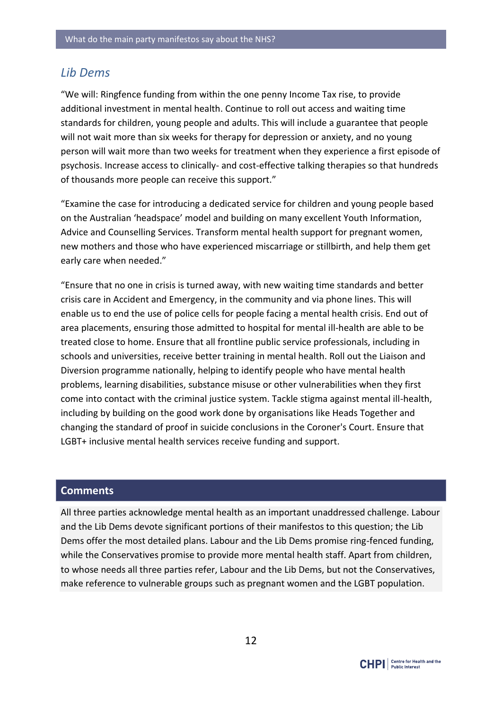#### *Lib Dems*

"We will: Ringfence funding from within the one penny Income Tax rise, to provide additional investment in mental health. Continue to roll out access and waiting time standards for children, young people and adults. This will include a guarantee that people will not wait more than six weeks for therapy for depression or anxiety, and no young person will wait more than two weeks for treatment when they experience a first episode of psychosis. Increase access to clinically- and cost-effective talking therapies so that hundreds of thousands more people can receive this support."

"Examine the case for introducing a dedicated service for children and young people based on the Australian 'headspace' model and building on many excellent Youth Information, Advice and Counselling Services. Transform mental health support for pregnant women, new mothers and those who have experienced miscarriage or stillbirth, and help them get early care when needed."

"Ensure that no one in crisis is turned away, with new waiting time standards and better crisis care in Accident and Emergency, in the community and via phone lines. This will enable us to end the use of police cells for people facing a mental health crisis. End out of area placements, ensuring those admitted to hospital for mental ill-health are able to be treated close to home. Ensure that all frontline public service professionals, including in schools and universities, receive better training in mental health. Roll out the Liaison and Diversion programme nationally, helping to identify people who have mental health problems, learning disabilities, substance misuse or other vulnerabilities when they first come into contact with the criminal justice system. Tackle stigma against mental ill-health, including by building on the good work done by organisations like Heads Together and changing the standard of proof in suicide conclusions in the Coroner's Court. Ensure that LGBT+ inclusive mental health services receive funding and support.

#### **Comments**

All three parties acknowledge mental health as an important unaddressed challenge. Labour and the Lib Dems devote significant portions of their manifestos to this question; the Lib Dems offer the most detailed plans. Labour and the Lib Dems promise ring-fenced funding, while the Conservatives promise to provide more mental health staff. Apart from children, to whose needs all three parties refer, Labour and the Lib Dems, but not the Conservatives, make reference to vulnerable groups such as pregnant women and the LGBT population.

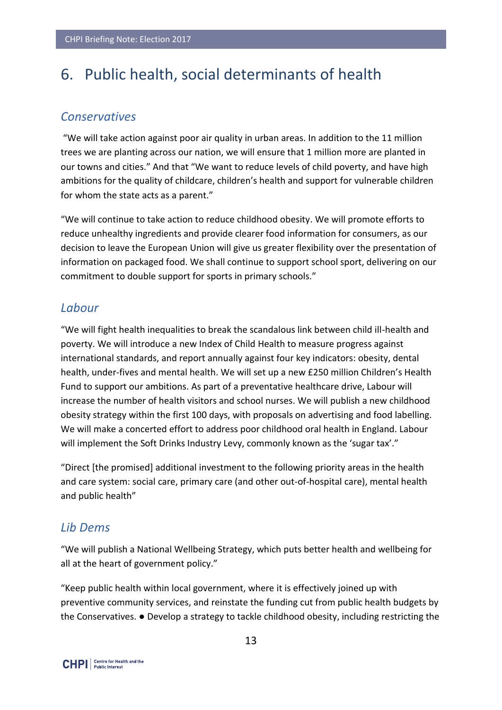# <span id="page-12-0"></span>6. Public health, social determinants of health

#### *Conservatives*

"We will take action against poor air quality in urban areas. In addition to the 11 million trees we are planting across our nation, we will ensure that 1 million more are planted in our towns and cities." And that "We want to reduce levels of child poverty, and have high ambitions for the quality of childcare, children's health and support for vulnerable children for whom the state acts as a parent."

"We will continue to take action to reduce childhood obesity. We will promote efforts to reduce unhealthy ingredients and provide clearer food information for consumers, as our decision to leave the European Union will give us greater flexibility over the presentation of information on packaged food. We shall continue to support school sport, delivering on our commitment to double support for sports in primary schools."

#### *Labour*

"We will fight health inequalities to break the scandalous link between child ill-health and poverty. We will introduce a new Index of Child Health to measure progress against international standards, and report annually against four key indicators: obesity, dental health, under-fives and mental health. We will set up a new £250 million Children's Health Fund to support our ambitions. As part of a preventative healthcare drive, Labour will increase the number of health visitors and school nurses. We will publish a new childhood obesity strategy within the first 100 days, with proposals on advertising and food labelling. We will make a concerted effort to address poor childhood oral health in England. Labour will implement the Soft Drinks Industry Levy, commonly known as the 'sugar tax'."

"Direct [the promised] additional investment to the following priority areas in the health and care system: social care, primary care (and other out-of-hospital care), mental health and public health"

#### *Lib Dems*

"We will publish a National Wellbeing Strategy, which puts better health and wellbeing for all at the heart of government policy."

"Keep public health within local government, where it is effectively joined up with preventive community services, and reinstate the funding cut from public health budgets by the Conservatives. ● Develop a strategy to tackle childhood obesity, including restricting the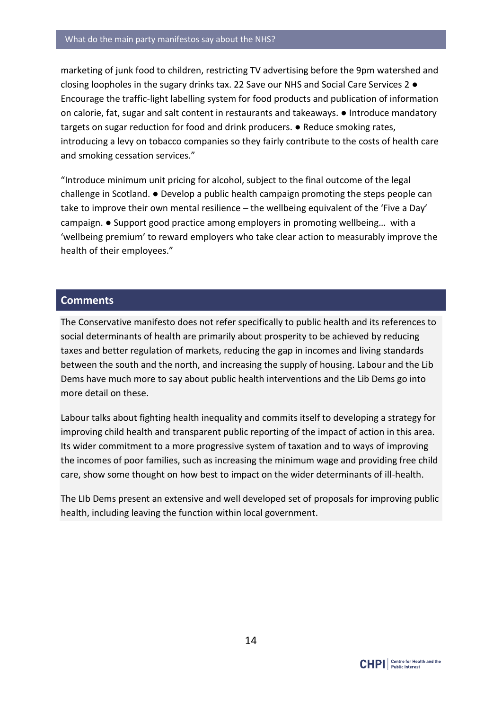marketing of junk food to children, restricting TV advertising before the 9pm watershed and closing loopholes in the sugary drinks tax. 22 Save our NHS and Social Care Services 2 ● Encourage the traffic-light labelling system for food products and publication of information on calorie, fat, sugar and salt content in restaurants and takeaways. ● Introduce mandatory targets on sugar reduction for food and drink producers. ● Reduce smoking rates, introducing a levy on tobacco companies so they fairly contribute to the costs of health care and smoking cessation services."

"Introduce minimum unit pricing for alcohol, subject to the final outcome of the legal challenge in Scotland. ● Develop a public health campaign promoting the steps people can take to improve their own mental resilience – the wellbeing equivalent of the 'Five a Day' campaign. ● Support good practice among employers in promoting wellbeing… with a 'wellbeing premium' to reward employers who take clear action to measurably improve the health of their employees."

#### **Comments**

The Conservative manifesto does not refer specifically to public health and its references to social determinants of health are primarily about prosperity to be achieved by reducing taxes and better regulation of markets, reducing the gap in incomes and living standards between the south and the north, and increasing the supply of housing. Labour and the Lib Dems have much more to say about public health interventions and the Lib Dems go into more detail on these.

Labour talks about fighting health inequality and commits itself to developing a strategy for improving child health and transparent public reporting of the impact of action in this area. Its wider commitment to a more progressive system of taxation and to ways of improving the incomes of poor families, such as increasing the minimum wage and providing free child care, show some thought on how best to impact on the wider determinants of ill-health.

The LIb Dems present an extensive and well developed set of proposals for improving public health, including leaving the function within local government.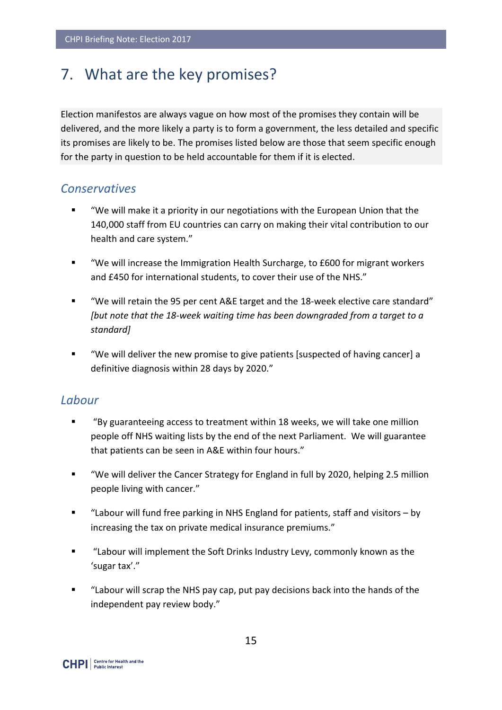# <span id="page-14-0"></span>7. What are the key promises?

Election manifestos are always vague on how most of the promises they contain will be delivered, and the more likely a party is to form a government, the less detailed and specific its promises are likely to be. The promises listed below are those that seem specific enough for the party in question to be held accountable for them if it is elected.

#### *Conservatives*

- "We will make it a priority in our negotiations with the European Union that the 140,000 staff from EU countries can carry on making their vital contribution to our health and care system."
- "We will increase the Immigration Health Surcharge, to £600 for migrant workers and £450 for international students, to cover their use of the NHS."
- "We will retain the 95 per cent A&E target and the 18-week elective care standard" *[but note that the 18-week waiting time has been downgraded from a target to a standard]*
- "We will deliver the new promise to give patients [suspected of having cancer] a definitive diagnosis within 28 days by 2020."

#### *Labour*

- "By guaranteeing access to treatment within 18 weeks, we will take one million people off NHS waiting lists by the end of the next Parliament. We will guarantee that patients can be seen in A&E within four hours."
- "We will deliver the Cancer Strategy for England in full by 2020, helping 2.5 million people living with cancer."
- "Labour will fund free parking in NHS England for patients, staff and visitors by increasing the tax on private medical insurance premiums."
- "Labour will implement the Soft Drinks Industry Levy, commonly known as the 'sugar tax'."
- "Labour will scrap the NHS pay cap, put pay decisions back into the hands of the independent pay review body."